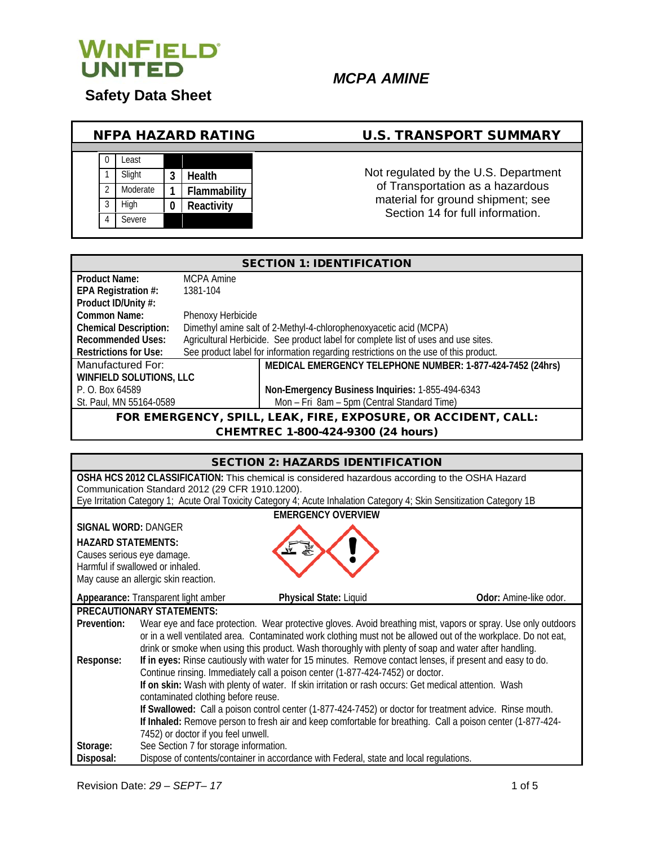

**Safety Data Sheet** 

# *MCPA AMINE*

#### NFPA HAZARD RATING U.S. TRANSPORT SUMMARY 0 Least 1 Slight **3 Health**<br>2 Moderate **1 Flamm** 2 Moderate **1 Flammability** 3 High **0 Reactivity Severe** Not regulated by the U.S. Department of Transportation as a hazardous material for ground shipment; see Section 14 for full information.

| <b>SECTION 1: IDENTIFICATION</b>                               |                   |                                                                                      |
|----------------------------------------------------------------|-------------------|--------------------------------------------------------------------------------------|
| <b>Product Name:</b>                                           | MCPA Amine        |                                                                                      |
| EPA Registration #:                                            | 1381-104          |                                                                                      |
| Product ID/Unity #:                                            |                   |                                                                                      |
| Common Name:                                                   | Phenoxy Herbicide |                                                                                      |
| <b>Chemical Description:</b>                                   |                   | Dimethyl amine salt of 2-Methyl-4-chlorophenoxyacetic acid (MCPA)                    |
| <b>Recommended Uses:</b>                                       |                   | Agricultural Herbicide. See product label for complete list of uses and use sites.   |
| <b>Restrictions for Use:</b>                                   |                   | See product label for information regarding restrictions on the use of this product. |
| Manufactured For:                                              |                   | MEDICAL EMERGENCY TELEPHONE NUMBER: 1-877-424-7452 (24hrs)                           |
| <b>WINFIELD SOLUTIONS, LLC</b>                                 |                   |                                                                                      |
| P. O. Box 64589                                                |                   | Non-Emergency Business Inquiries: 1-855-494-6343                                     |
| St. Paul, MN 55164-0589                                        |                   | Mon - Fri 8am - 5pm (Central Standard Time)                                          |
| FOR EMERGENCY, SPILL, LEAK, FIRE, EXPOSURE, OR ACCIDENT, CALL: |                   |                                                                                      |

CHEMTREC 1-800-424-9300 (24 hours)

| <b>SECTION 2: HAZARDS IDENTIFICATION</b>                                                                                                                                  |                                                                                                           |                                                                                                                |                               |
|---------------------------------------------------------------------------------------------------------------------------------------------------------------------------|-----------------------------------------------------------------------------------------------------------|----------------------------------------------------------------------------------------------------------------|-------------------------------|
| OSHA HCS 2012 CLASSIFICATION: This chemical is considered hazardous according to the OSHA Hazard                                                                          |                                                                                                           |                                                                                                                |                               |
| Communication Standard 2012 (29 CFR 1910.1200).<br>Eye Irritation Category 1; Acute Oral Toxicity Category 4; Acute Inhalation Category 4; Skin Sensitization Category 1B |                                                                                                           |                                                                                                                |                               |
|                                                                                                                                                                           |                                                                                                           |                                                                                                                |                               |
| <b>SIGNAL WORD: DANGER</b>                                                                                                                                                |                                                                                                           | <b>EMERGENCY OVERVIEW</b>                                                                                      |                               |
|                                                                                                                                                                           |                                                                                                           |                                                                                                                |                               |
| <b>HAZARD STATEMENTS:</b>                                                                                                                                                 |                                                                                                           |                                                                                                                |                               |
| Causes serious eye damage.                                                                                                                                                | Harmful if swallowed or inhaled.                                                                          |                                                                                                                |                               |
|                                                                                                                                                                           | May cause an allergic skin reaction.                                                                      |                                                                                                                |                               |
|                                                                                                                                                                           |                                                                                                           |                                                                                                                |                               |
|                                                                                                                                                                           | Appearance: Transparent light amber                                                                       | Physical State: Liquid                                                                                         | <b>Odor:</b> Amine-like odor. |
|                                                                                                                                                                           | <b>PRECAUTIONARY STATEMENTS:</b>                                                                          |                                                                                                                |                               |
| Prevention:                                                                                                                                                               |                                                                                                           | Wear eye and face protection. Wear protective gloves. Avoid breathing mist, vapors or spray. Use only outdoors |                               |
|                                                                                                                                                                           |                                                                                                           | or in a well ventilated area. Contaminated work clothing must not be allowed out of the workplace. Do not eat, |                               |
|                                                                                                                                                                           |                                                                                                           | drink or smoke when using this product. Wash thoroughly with plenty of soap and water after handling.          |                               |
| Response:                                                                                                                                                                 | If in eyes: Rinse cautiously with water for 15 minutes. Remove contact lenses, if present and easy to do. |                                                                                                                |                               |
| Continue rinsing. Immediately call a poison center (1-877-424-7452) or doctor.                                                                                            |                                                                                                           |                                                                                                                |                               |
| If on skin: Wash with plenty of water. If skin irritation or rash occurs: Get medical attention. Wash                                                                     |                                                                                                           |                                                                                                                |                               |
| contaminated clothing before reuse.<br>If Swallowed: Call a poison control center (1-877-424-7452) or doctor for treatment advice. Rinse mouth.                           |                                                                                                           |                                                                                                                |                               |
| If Inhaled: Remove person to fresh air and keep comfortable for breathing. Call a poison center (1-877-424-                                                               |                                                                                                           |                                                                                                                |                               |
|                                                                                                                                                                           | 7452) or doctor if you feel unwell.                                                                       |                                                                                                                |                               |
| Storage:                                                                                                                                                                  | See Section 7 for storage information.                                                                    |                                                                                                                |                               |
| Disposal:                                                                                                                                                                 |                                                                                                           | Dispose of contents/container in accordance with Federal, state and local regulations.                         |                               |

Revision Date: *29 – SEPT– 17* 1 of 5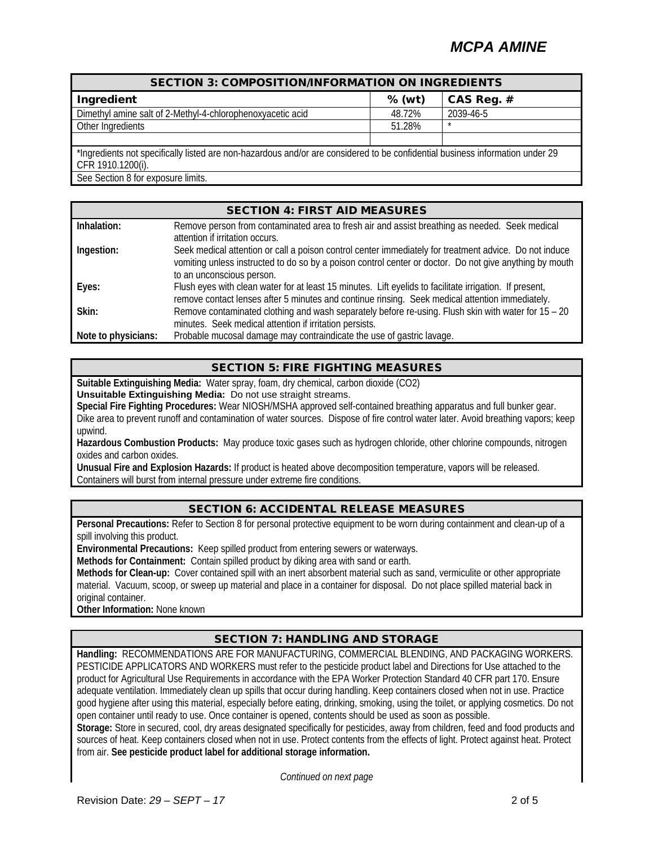# *MCPA AMINE*

| <b>SECTION 3: COMPOSITION/INFORMATION ON INGREDIENTS</b>                                                                                           |          |            |  |
|----------------------------------------------------------------------------------------------------------------------------------------------------|----------|------------|--|
| Ingredient                                                                                                                                         | $%$ (wt) | CAS Reg. # |  |
| Dimethyl amine salt of 2-Methyl-4-chlorophenoxyacetic acid                                                                                         | 48.72%   | 2039-46-5  |  |
| Other Ingredients                                                                                                                                  | 51.28%   | $\star$    |  |
|                                                                                                                                                    |          |            |  |
| *Ingredients not specifically listed are non-hazardous and/or are considered to be confidential business information under 29<br>CFR 1910.1200(i). |          |            |  |
| See Section 8 for exposure limits.                                                                                                                 |          |            |  |

| <b>SECTION 4: FIRST AID MEASURES</b> |
|--------------------------------------|
|                                      |

| Inhalation:         | Remove person from contaminated area to fresh air and assist breathing as needed. Seek medical                                                                                                                                                 |
|---------------------|------------------------------------------------------------------------------------------------------------------------------------------------------------------------------------------------------------------------------------------------|
|                     | attention if irritation occurs.                                                                                                                                                                                                                |
| Ingestion:          | Seek medical attention or call a poison control center immediately for treatment advice. Do not induce<br>vomiting unless instructed to do so by a poison control center or doctor. Do not give anything by mouth<br>to an unconscious person. |
| Eyes:               | Flush eyes with clean water for at least 15 minutes. Lift eyelids to facilitate irrigation. If present,<br>remove contact lenses after 5 minutes and continue rinsing. Seek medical attention immediately.                                     |
| Skin:               | Remove contaminated clothing and wash separately before re-using. Flush skin with water for 15 - 20<br>minutes. Seek medical attention if irritation persists.                                                                                 |
| Note to physicians: | Probable mucosal damage may contraindicate the use of gastric lavage.                                                                                                                                                                          |

## SECTION 5: FIRE FIGHTING MEASURES

**Suitable Extinguishing Media:** Water spray, foam, dry chemical, carbon dioxide (CO2) **Unsuitable Extinguishing Media:** Do not use straight streams.

**Special Fire Fighting Procedures:** Wear NIOSH/MSHA approved self-contained breathing apparatus and full bunker gear. Dike area to prevent runoff and contamination of water sources. Dispose of fire control water later. Avoid breathing vapors; keep upwind.

**Hazardous Combustion Products:** May produce toxic gases such as hydrogen chloride, other chlorine compounds, nitrogen oxides and carbon oxides.

**Unusual Fire and Explosion Hazards:** If product is heated above decomposition temperature, vapors will be released. Containers will burst from internal pressure under extreme fire conditions.

## SECTION 6: ACCIDENTAL RELEASE MEASURES

**Personal Precautions:** Refer to Section 8 for personal protective equipment to be worn during containment and clean-up of a spill involving this product.

**Environmental Precautions:** Keep spilled product from entering sewers or waterways.

**Methods for Containment:** Contain spilled product by diking area with sand or earth.

**Methods for Clean-up:** Cover contained spill with an inert absorbent material such as sand, vermiculite or other appropriate material. Vacuum, scoop, or sweep up material and place in a container for disposal. Do not place spilled material back in original container.

**Other Information:** None known

## SECTION 7: HANDLING AND STORAGE

**Handling:** RECOMMENDATIONS ARE FOR MANUFACTURING, COMMERCIAL BLENDING, AND PACKAGING WORKERS. PESTICIDE APPLICATORS AND WORKERS must refer to the pesticide product label and Directions for Use attached to the product for Agricultural Use Requirements in accordance with the EPA Worker Protection Standard 40 CFR part 170. Ensure adequate ventilation. Immediately clean up spills that occur during handling. Keep containers closed when not in use. Practice good hygiene after using this material, especially before eating, drinking, smoking, using the toilet, or applying cosmetics. Do not open container until ready to use. Once container is opened, contents should be used as soon as possible.

**Storage:** Store in secured, cool, dry areas designated specifically for pesticides, away from children, feed and food products and sources of heat. Keep containers closed when not in use. Protect contents from the effects of light. Protect against heat. Protect from air. **See pesticide product label for additional storage information.**

*Continued on next page*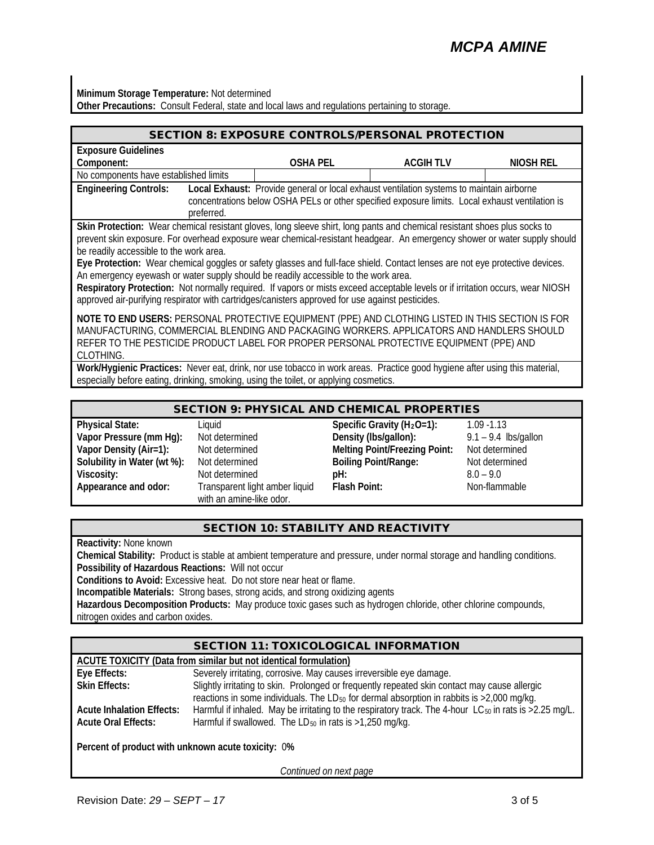# *MCPA AMINE*

**Minimum Storage Temperature:** Not determined **Other Precautions:** Consult Federal, state and local laws and regulations pertaining to storage.

| <b>SECTION 8: EXPOSURE CONTROLS/PERSONAL PROTECTION</b>                                                                                                                                                                                                                                                                                                                                                                                                                                                                                                                                                                                                                                                                                                        |            |                                                                                       |                                                                                                                                                                                             |           |
|----------------------------------------------------------------------------------------------------------------------------------------------------------------------------------------------------------------------------------------------------------------------------------------------------------------------------------------------------------------------------------------------------------------------------------------------------------------------------------------------------------------------------------------------------------------------------------------------------------------------------------------------------------------------------------------------------------------------------------------------------------------|------------|---------------------------------------------------------------------------------------|---------------------------------------------------------------------------------------------------------------------------------------------------------------------------------------------|-----------|
| <b>Exposure Guidelines</b>                                                                                                                                                                                                                                                                                                                                                                                                                                                                                                                                                                                                                                                                                                                                     |            |                                                                                       |                                                                                                                                                                                             |           |
| Component:                                                                                                                                                                                                                                                                                                                                                                                                                                                                                                                                                                                                                                                                                                                                                     |            | <b>OSHA PEL</b>                                                                       | <b>ACGIH TLV</b>                                                                                                                                                                            | NIOSH REL |
| No components have established limits                                                                                                                                                                                                                                                                                                                                                                                                                                                                                                                                                                                                                                                                                                                          |            |                                                                                       |                                                                                                                                                                                             |           |
| <b>Engineering Controls:</b>                                                                                                                                                                                                                                                                                                                                                                                                                                                                                                                                                                                                                                                                                                                                   | preferred. |                                                                                       | Local Exhaust: Provide general or local exhaust ventilation systems to maintain airborne<br>concentrations below OSHA PELs or other specified exposure limits. Local exhaust ventilation is |           |
| Skin Protection: Wear chemical resistant gloves, long sleeve shirt, long pants and chemical resistant shoes plus socks to<br>prevent skin exposure. For overhead exposure wear chemical-resistant headgear. An emergency shower or water supply should<br>be readily accessible to the work area.<br>Eye Protection: Wear chemical goggles or safety glasses and full-face shield. Contact lenses are not eye protective devices.<br>An emergency eyewash or water supply should be readily accessible to the work area.<br>Respiratory Protection: Not normally required. If vapors or mists exceed acceptable levels or if irritation occurs, wear NIOSH<br>approved air-purifying respirator with cartridges/canisters approved for use against pesticides. |            |                                                                                       |                                                                                                                                                                                             |           |
| NOTE TO END USERS: PERSONAL PROTECTIVE EQUIPMENT (PPE) AND CLOTHING LISTED IN THIS SECTION IS FOR<br>MANUFACTURING, COMMERCIAL BLENDING AND PACKAGING WORKERS. APPLICATORS AND HANDLERS SHOULD<br>REFER TO THE PESTICIDE PRODUCT LABEL FOR PROPER PERSONAL PROTECTIVE EQUIPMENT (PPE) AND<br>CLOTHING.                                                                                                                                                                                                                                                                                                                                                                                                                                                         |            |                                                                                       |                                                                                                                                                                                             |           |
|                                                                                                                                                                                                                                                                                                                                                                                                                                                                                                                                                                                                                                                                                                                                                                |            | especially before eating, drinking, smoking, using the toilet, or applying cosmetics. | Work/Hygienic Practices: Never eat, drink, nor use tobacco in work areas. Practice good hygiene after using this material,                                                                  |           |

#### SECTION 9: PHYSICAL AND CHEMICAL PROPERTIES

| <b>Physical State:</b>      |  |  |
|-----------------------------|--|--|
| Vapor Pressure (mm Hg):     |  |  |
| Vapor Density (Air=1):      |  |  |
| Solubility in Water (wt %): |  |  |
| Viscosity:                  |  |  |
| Appearance and odor:        |  |  |
|                             |  |  |

**Transparent light amber liquid** with an amine-like odor.

**Physical State:** Liquid **Specific Gravity (H2O=1):** 1.09 -1.13 Not determined **Density (lbs/gallon):** 9.1 – 9.4 lbs/gallon Not determined **Melting Point/Freezing Point:** Not determined Not determined **Boiling Point/Range:** Not determined Not determined **pH: pH:** 8.0 – 9.0<br>
Transparent light amber liquid **Flash Point:** Non-flam

**Flash Point:** Non-flammable

## SECTION 10: STABILITY AND REACTIVITY

**Reactivity:** None known

**Chemical Stability:** Product is stable at ambient temperature and pressure, under normal storage and handling conditions. **Possibility of Hazardous Reactions:** Will not occur

**Conditions to Avoid:** Excessive heat. Do not store near heat or flame.

**Incompatible Materials:** Strong bases, strong acids, and strong oxidizing agents

**Hazardous Decomposition Products:** May produce toxic gases such as hydrogen chloride, other chlorine compounds, nitrogen oxides and carbon oxides.

## SECTION 11: TOXICOLOGICAL INFORMATION

#### **ACUTE TOXICITY (Data from similar but not identical formulation) Eye Effects:** Severely irritating, corrosive. May causes irreversible eye damage. **Skin Effects:** Slightly irritating to skin. Prolonged or frequently repeated skin contact may cause allergic reactions in some individuals. The LD $_{50}$  for dermal absorption in rabbits is  $>2,000$  mg/kg. **Acute Inhalation Effects:** Harmful if inhaled. May be irritating to the respiratory track. The 4-hour LC<sub>50</sub> in rats is >2.25 mg/L.<br>**Acute Oral Effects:** Harmful if swallowed. The LD<sub>50</sub> in rats is >1.250 mg/kg. Harmful if swallowed. The LD<sub>50</sub> in rats is >1,250 mg/kg.

**Percent of product with unknown acute toxicity:** 0**%**

*Continued on next page*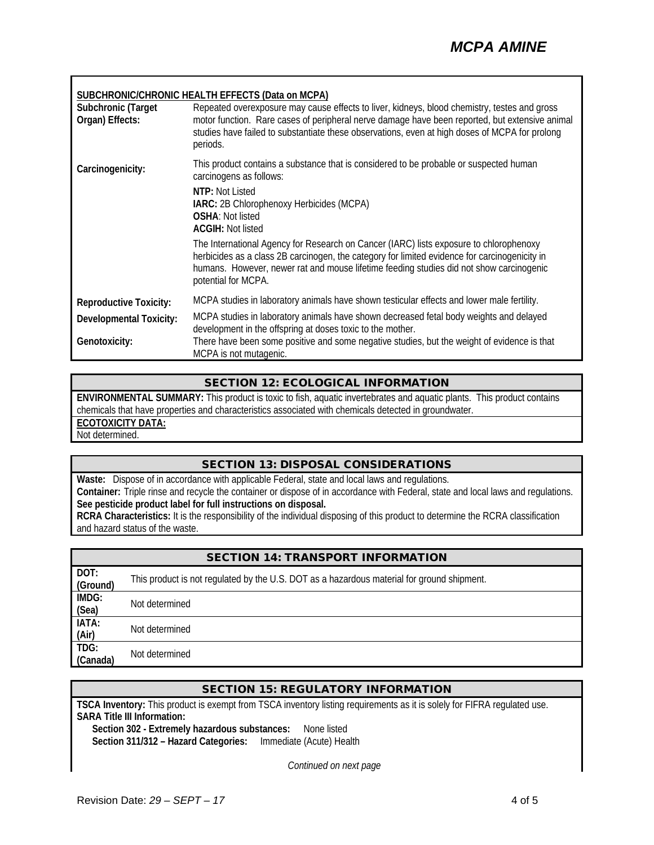#### **SUBCHRONIC/CHRONIC HEALTH EFFECTS (Data on MCPA)**

| Subchronic (Target<br>Organ) Effects:           | Repeated overexposure may cause effects to liver, kidneys, blood chemistry, testes and gross<br>motor function. Rare cases of peripheral nerve damage have been reported, but extensive animal<br>studies have failed to substantiate these observations, even at high doses of MCPA for prolong<br>periods. |
|-------------------------------------------------|--------------------------------------------------------------------------------------------------------------------------------------------------------------------------------------------------------------------------------------------------------------------------------------------------------------|
| Carcinogenicity:                                | This product contains a substance that is considered to be probable or suspected human<br>carcinogens as follows:<br>NTP: Not Listed<br>IARC: 2B Chlorophenoxy Herbicides (MCPA)<br><b>OSHA: Not listed</b><br><b>ACGIH: Not listed</b>                                                                      |
|                                                 | The International Agency for Research on Cancer (IARC) lists exposure to chlorophenoxy<br>herbicides as a class 2B carcinogen, the category for limited evidence for carcinogenicity in<br>humans. However, newer rat and mouse lifetime feeding studies did not show carcinogenic<br>potential for MCPA.    |
| <b>Reproductive Toxicity:</b>                   | MCPA studies in laboratory animals have shown testicular effects and lower male fertility.                                                                                                                                                                                                                   |
| <b>Developmental Toxicity:</b><br>Genotoxicity: | MCPA studies in laboratory animals have shown decreased fetal body weights and delayed<br>development in the offspring at doses toxic to the mother.<br>There have been some positive and some negative studies, but the weight of evidence is that                                                          |
|                                                 | MCPA is not mutagenic.                                                                                                                                                                                                                                                                                       |

#### SECTION 12: ECOLOGICAL INFORMATION

**ENVIRONMENTAL SUMMARY:** This product is toxic to fish, aquatic invertebrates and aquatic plants. This product contains chemicals that have properties and characteristics associated with chemicals detected in groundwater. **ECOTOXICITY DATA:**

Not determined.

#### SECTION 13: DISPOSAL CONSIDERATIONS

**Waste:** Dispose of in accordance with applicable Federal, state and local laws and regulations. **Container:** Triple rinse and recycle the container or dispose of in accordance with Federal, state and local laws and regulations. **See pesticide product label for full instructions on disposal. RCRA Characteristics:** It is the responsibility of the individual disposing of this product to determine the RCRA classification

and hazard status of the waste.

| <b>SECTION 14: TRANSPORT INFORMATION</b> |                                                                                            |  |
|------------------------------------------|--------------------------------------------------------------------------------------------|--|
| DOT:<br>(Ground)                         | This product is not regulated by the U.S. DOT as a hazardous material for ground shipment. |  |
| IMDG:<br>(Sea)                           | Not determined                                                                             |  |
| IATA:<br>(Air)                           | Not determined                                                                             |  |
| TDG:<br>(Canada)                         | Not determined                                                                             |  |

# SECTION 15: REGULATORY INFORMATION

**TSCA Inventory:** This product is exempt from TSCA inventory listing requirements as it is solely for FIFRA regulated use. **SARA Title III Information:**

**Section 302 - Extremely hazardous substances:** None listed **Section 311/312 – Hazard Categories:** Immediate (Acute) Health

*Continued on next page*